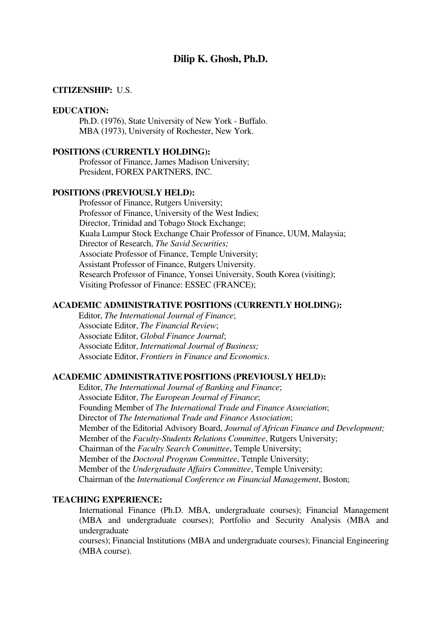# **Dilip K. Ghosh, Ph.D.**

### **CITIZENSHIP:** U.S.

# **EDUCATION:**

 Ph.D. (1976), State University of New York - Buffalo. MBA (1973), University of Rochester, New York.

## **POSITIONS (CURRENTLY HOLDING):**

 Professor of Finance, James Madison University; President, FOREX PARTNERS, INC.

# **POSITIONS (PREVIOUSLY HELD):**

 Professor of Finance, Rutgers University; Professor of Finance, University of the West Indies; Director, Trinidad and Tobago Stock Exchange; Kuala Lumpur Stock Exchange Chair Professor of Finance, UUM, Malaysia; Director of Research, *The Savid Securities;* Associate Professor of Finance, Temple University; Assistant Professor of Finance, Rutgers University. Research Professor of Finance, Yonsei University, South Korea (visiting); Visiting Professor of Finance: ESSEC (FRANCE);

## **ACADEMIC ADMINISTRATIVE POSITIONS (CURRENTLY HOLDING):**

 Editor, *The International Journal of Finance*; Associate Editor, *The Financial Review*; Associate Editor, *Global Finance Journal*; Associate Editor, *International Journal of Business;*  Associate Editor, *Frontiers in Finance and Economics*.

## **ACADEMIC ADMINISTRATIVEPOSITIONS (PREVIOUSLY HELD):**

 Editor, *The International Journal of Banking and Finance*; Associate Editor, *The European Journal of Finance*; Founding Member of *The International Trade and Finance Association*; Director of *The International Trade and Finance Association*; Member of the Editorial Advisory Board, *Journal of African Finance and Development;* Member of the *Faculty-Students Relations Committee*, Rutgers University; Chairman of the *Faculty Search Committee*, Temple University; Member of the *Doctoral Program Committee*, Temple University; Member of the *Undergraduate Affairs Committee*, Temple University; Chairman of the *International Conference on Financial Management*, Boston;

## **TEACHING EXPERIENCE:**

International Finance (Ph.D. MBA, undergraduate courses); Financial Management (MBA and undergraduate courses); Portfolio and Security Analysis (MBA and undergraduate

courses); Financial Institutions (MBA and undergraduate courses); Financial Engineering (MBA course).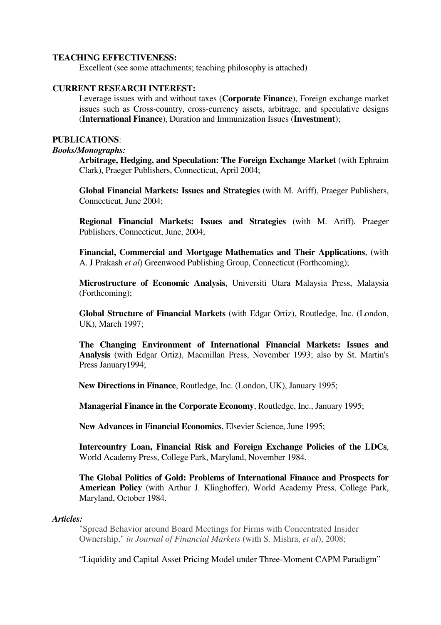# **TEACHING EFFECTIVENESS:**

Excellent (see some attachments; teaching philosophy is attached)

## **CURRENT RESEARCH INTEREST:**

Leverage issues with and without taxes (**Corporate Finance**), Foreign exchange market issues such as Cross-country, cross-currency assets, arbitrage, and speculative designs (**International Finance**), Duration and Immunization Issues (**Investment**);

#### **PUBLICATIONS**:

#### *Books/Monographs:*

**Arbitrage, Hedging, and Speculation: The Foreign Exchange Market** (with Ephraim Clark), Praeger Publishers, Connecticut, April 2004;

 **Global Financial Markets: Issues and Strategies** (with M. Ariff), Praeger Publishers, Connecticut, June 2004;

**Regional Financial Markets: Issues and Strategies** (with M. Ariff), Praeger Publishers, Connecticut, June, 2004;

 **Financial, Commercial and Mortgage Mathematics and Their Applications**, (with A. J Prakash *et al*) Greenwood Publishing Group, Connecticut (Forthcoming);

**Microstructure of Economic Analysis**, Universiti Utara Malaysia Press, Malaysia (Forthcoming);

 **Global Structure of Financial Markets** (with Edgar Ortiz), Routledge, Inc. (London, UK), March 1997;

**The Changing Environment of International Financial Markets: Issues and Analysis** (with Edgar Ortiz), Macmillan Press, November 1993; also by St. Martin's Press January1994;

 **New Directions in Finance**, Routledge, Inc. (London, UK), January 1995;

 **Managerial Finance in the Corporate Economy**, Routledge, Inc., January 1995;

 **New Advances in Financial Economics**, Elsevier Science, June 1995;

 **Intercountry Loan, Financial Risk and Foreign Exchange Policies of the LDCs**, World Academy Press, College Park, Maryland, November 1984.

 **The Global Politics of Gold: Problems of International Finance and Prospects for American Policy** (with Arthur J. Klinghoffer), World Academy Press, College Park, Maryland, October 1984.

#### *Articles:*

"Spread Behavior around Board Meetings for Firms with Concentrated Insider Ownership," *in Journal of Financial Markets* (with S. Mishra, *et al*), 2008;

"Liquidity and Capital Asset Pricing Model under Three-Moment CAPM Paradigm"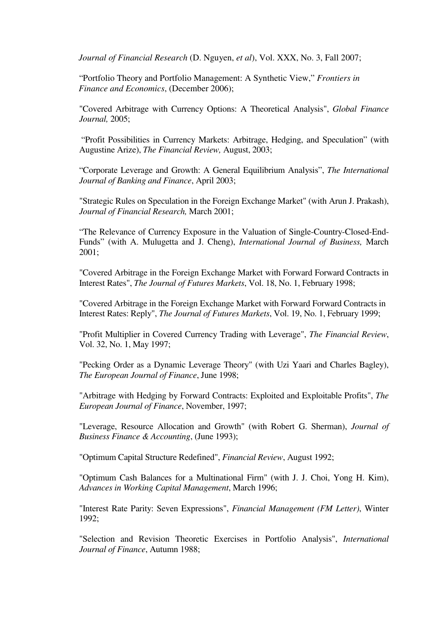*Journal of Financial Research* (D. Nguyen, *et al*), Vol. XXX, No. 3, Fall 2007;

"Portfolio Theory and Portfolio Management: A Synthetic View," *Frontiers in Finance and Economics*, (December 2006);

 "Covered Arbitrage with Currency Options: A Theoretical Analysis", *Global Finance Journal,* 2005;

 "Profit Possibilities in Currency Markets: Arbitrage, Hedging, and Speculation" (with Augustine Arize), *The Financial Review,* August, 2003;

 "Corporate Leverage and Growth: A General Equilibrium Analysis", *The International Journal of Banking and Finance*, April 2003;

 "Strategic Rules on Speculation in the Foreign Exchange Market" (with Arun J. Prakash), *Journal of Financial Research,* March 2001;

 "The Relevance of Currency Exposure in the Valuation of Single-Country-Closed-End-Funds" (with A. Mulugetta and J. Cheng), *International Journal of Business,* March 2001;

 "Covered Arbitrage in the Foreign Exchange Market with Forward Forward Contracts in Interest Rates", *The Journal of Futures Markets*, Vol. 18, No. 1, February 1998;

"Covered Arbitrage in the Foreign Exchange Market with Forward Forward Contracts in Interest Rates: Reply", *The Journal of Futures Markets*, Vol. 19, No. 1, February 1999;

 "Profit Multiplier in Covered Currency Trading with Leverage", *The Financial Review*, Vol. 32, No. 1, May 1997;

 "Pecking Order as a Dynamic Leverage Theory" (with Uzi Yaari and Charles Bagley), *The European Journal of Finance*, June 1998;

 "Arbitrage with Hedging by Forward Contracts: Exploited and Exploitable Profits", *The European Journal of Finance*, November, 1997;

 "Leverage, Resource Allocation and Growth" (with Robert G. Sherman), *Journal of Business Finance & Accounting*, (June 1993);

"Optimum Capital Structure Redefined", *Financial Review*, August 1992;

 "Optimum Cash Balances for a Multinational Firm" (with J. J. Choi, Yong H. Kim), *Advances in Working Capital Management*, March 1996;

 "Interest Rate Parity: Seven Expressions", *Financial Management (FM Letter)*, Winter 1992;

"Selection and Revision Theoretic Exercises in Portfolio Analysis", *International Journal of Finance*, Autumn 1988;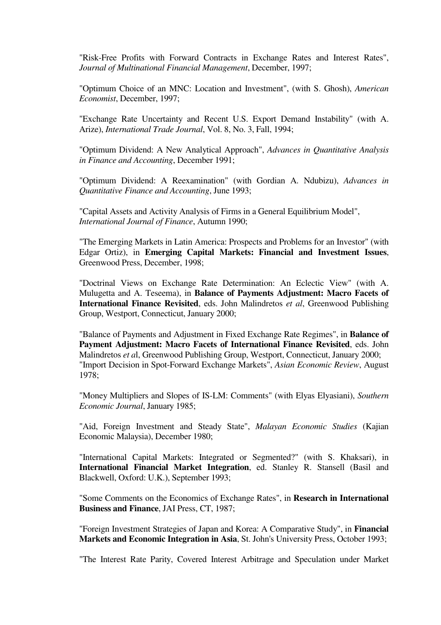"Risk-Free Profits with Forward Contracts in Exchange Rates and Interest Rates", *Journal of Multinational Financial Management*, December, 1997;

 "Optimum Choice of an MNC: Location and Investment", (with S. Ghosh), *American Economist*, December, 1997;

 "Exchange Rate Uncertainty and Recent U.S. Export Demand Instability" (with A. Arize), *International Trade Journal*, Vol. 8, No. 3, Fall, 1994;

 "Optimum Dividend: A New Analytical Approach", *Advances in Quantitative Analysis in Finance and Accounting*, December 1991;

 "Optimum Dividend: A Reexamination" (with Gordian A. Ndubizu), *Advances in Quantitative Finance and Accounting*, June 1993;

"Capital Assets and Activity Analysis of Firms in a General Equilibrium Model", *International Journal of Finance*, Autumn 1990;

 "The Emerging Markets in Latin America: Prospects and Problems for an Investor" (with Edgar Ortiz), in **Emerging Capital Markets: Financial and Investment Issues**, Greenwood Press, December, 1998;

"Doctrinal Views on Exchange Rate Determination: An Eclectic View" (with A. Mulugetta and A. Teseema), in **Balance of Payments Adjustment: Macro Facets of International Finance Revisited**, eds. John Malindretos *et al*, Greenwood Publishing Group, Westport, Connecticut, January 2000;

 "Balance of Payments and Adjustment in Fixed Exchange Rate Regimes", in **Balance of Payment Adjustment: Macro Facets of International Finance Revisited**, eds. John Malindretos *et a*l, Greenwood Publishing Group, Westport, Connecticut, January 2000; "Import Decision in Spot-Forward Exchange Markets", *Asian Economic Review*, August 1978;

 "Money Multipliers and Slopes of IS-LM: Comments" (with Elyas Elyasiani), *Southern Economic Journal*, January 1985;

 "Aid, Foreign Investment and Steady State", *Malayan Economic Studies* (Kajian Economic Malaysia), December 1980;

 "International Capital Markets: Integrated or Segmented?" (with S. Khaksari), in **International Financial Market Integration**, ed. Stanley R. Stansell (Basil and Blackwell, Oxford: U.K.), September 1993;

 "Some Comments on the Economics of Exchange Rates", in **Research in International Business and Finance**, JAI Press, CT, 1987;

 "Foreign Investment Strategies of Japan and Korea: A Comparative Study", in **Financial Markets and Economic Integration in Asia**, St. John's University Press, October 1993;

"The Interest Rate Parity, Covered Interest Arbitrage and Speculation under Market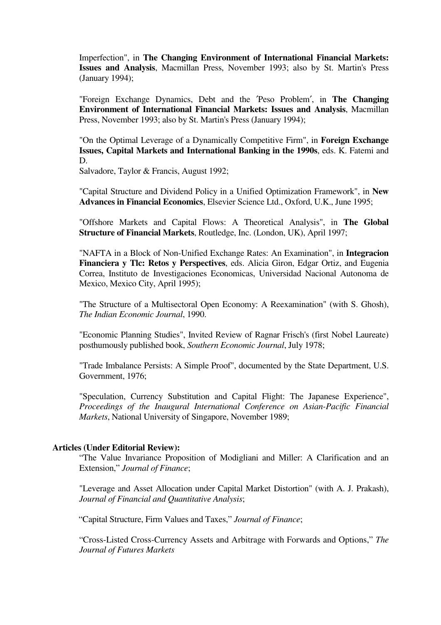Imperfection", in **The Changing Environment of International Financial Markets: Issues and Analysis**, Macmillan Press, November 1993; also by St. Martin's Press (January 1994);

 "Foreign Exchange Dynamics, Debt and the ′Peso Problem′, in **The Changing Environment of International Financial Markets: Issues and Analysis**, Macmillan Press, November 1993; also by St. Martin's Press (January 1994);

 "On the Optimal Leverage of a Dynamically Competitive Firm", in **Foreign Exchange Issues, Capital Markets and International Banking in the 1990s**, eds. K. Fatemi and D.

Salvadore, Taylor & Francis, August 1992;

 "Capital Structure and Dividend Policy in a Unified Optimization Framework", in **New Advances in Financial Economics**, Elsevier Science Ltd., Oxford, U.K., June 1995;

 "Offshore Markets and Capital Flows: A Theoretical Analysis", in **The Global Structure of Financial Markets**, Routledge, Inc. (London, UK), April 1997;

 "NAFTA in a Block of Non-Unified Exchange Rates: An Examination", in **Integracion Financiera y Tlc: Retos y Perspectives**, eds. Alicia Giron, Edgar Ortiz, and Eugenia Correa, Instituto de Investigaciones Economicas, Universidad Nacional Autonoma de Mexico, Mexico City, April 1995);

 "The Structure of a Multisectoral Open Economy: A Reexamination" (with S. Ghosh), *The Indian Economic Journal*, 1990.

 "Economic Planning Studies", Invited Review of Ragnar Frisch's (first Nobel Laureate) posthumously published book, *Southern Economic Journal*, July 1978;

 "Trade Imbalance Persists: A Simple Proof", documented by the State Department, U.S. Government, 1976;

 "Speculation, Currency Substitution and Capital Flight: The Japanese Experience", *Proceedings of the Inaugural International Conference on Asian-Pacific Financial Markets*, National University of Singapore, November 1989;

#### **Articles (Under Editorial Review):**

"The Value Invariance Proposition of Modigliani and Miller: A Clarification and an Extension," *Journal of Finance*;

 "Leverage and Asset Allocation under Capital Market Distortion" (with A. J. Prakash), *Journal of Financial and Quantitative Analysis*;

"Capital Structure, Firm Values and Taxes," *Journal of Finance*;

"Cross-Listed Cross-Currency Assets and Arbitrage with Forwards and Options," *The Journal of Futures Markets*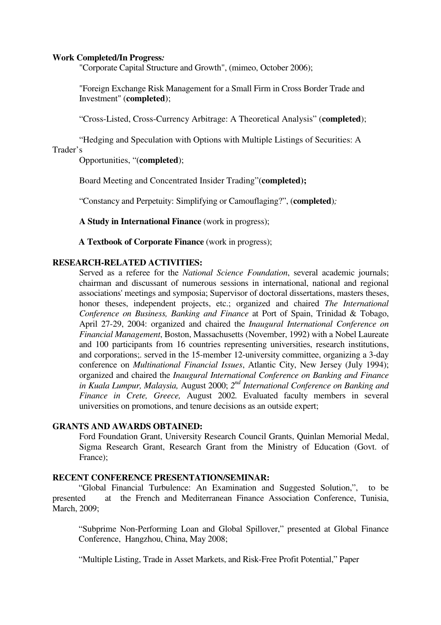#### **Work Completed/In Progress***:*

"Corporate Capital Structure and Growth", (mimeo, October 2006);

 "Foreign Exchange Risk Management for a Small Firm in Cross Border Trade and Investment" (**completed**);

"Cross-Listed, Cross-Currency Arbitrage: A Theoretical Analysis" (**completed**);

"Hedging and Speculation with Options with Multiple Listings of Securities: A Trader's

Opportunities, "(**completed**);

Board Meeting and Concentrated Insider Trading"(**completed);**

"Constancy and Perpetuity: Simplifying or Camouflaging?", (**completed**)*;* 

 **A Study in International Finance** (work in progress);

**A Textbook of Corporate Finance** (work in progress);

## **RESEARCH-RELATED ACTIVITIES:**

 Served as a referee for the *National Science Foundation*, several academic journals; chairman and discussant of numerous sessions in international, national and regional associations' meetings and symposia; Supervisor of doctoral dissertations, masters theses, honor theses, independent projects, etc.; organized and chaired *The International Conference on Business, Banking and Finance* at Port of Spain, Trinidad & Tobago, April 27-29, 2004: organized and chaired the *Inaugural International Conference on Financial Management*, Boston, Massachusetts (November, 1992) with a Nobel Laureate and 100 participants from 16 countries representing universities, research institutions, and corporations;. served in the 15-member 12-university committee, organizing a 3-day conference on *Multinational Financial Issues*, Atlantic City, New Jersey (July 1994); organized and chaired the *Inaugural International Conference on Banking and Finance*  in Kuala Lumpur, Malaysia, August 2000; 2<sup>nd</sup> International Conference on Banking and *Finance in Crete, Greece,* August 2002*.* Evaluated faculty members in several universities on promotions, and tenure decisions as an outside expert;

### **GRANTS AND AWARDS OBTAINED:**

 Ford Foundation Grant, University Research Council Grants, Quinlan Memorial Medal, Sigma Research Grant, Research Grant from the Ministry of Education (Govt. of France);

## **RECENT CONFERENCE PRESENTATION/SEMINAR:**

"Global Financial Turbulence: An Examination and Suggested Solution,", to be presented at the French and Mediterranean Finance Association Conference, Tunisia, March, 2009;

"Subprime Non-Performing Loan and Global Spillover," presented at Global Finance Conference, Hangzhou, China, May 2008;

"Multiple Listing, Trade in Asset Markets, and Risk-Free Profit Potential," Paper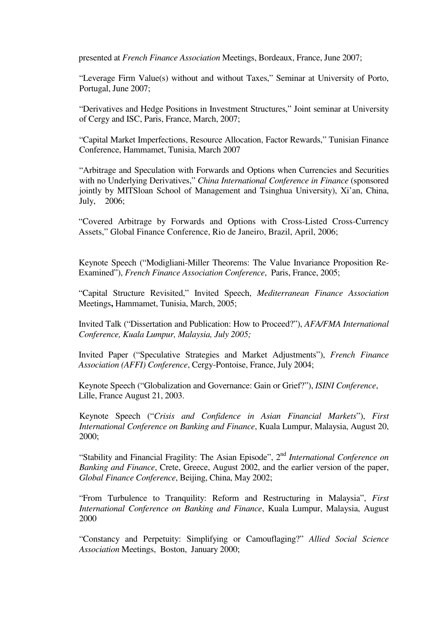presented at *French Finance Association* Meetings, Bordeaux, France, June 2007;

"Leverage Firm Value(s) without and without Taxes," Seminar at University of Porto, Portugal, June 2007;

"Derivatives and Hedge Positions in Investment Structures," Joint seminar at University of Cergy and ISC, Paris, France, March, 2007;

"Capital Market Imperfections, Resource Allocation, Factor Rewards," Tunisian Finance Conference, Hammamet, Tunisia, March 2007

"Arbitrage and Speculation with Forwards and Options when Currencies and Securities with no Underlying Derivatives," *China International Conference in Finance* (sponsored jointly by MITSloan School of Management and Tsinghua University), Xi'an, China, July, 2006;

"Covered Arbitrage by Forwards and Options with Cross-Listed Cross-Currency Assets," Global Finance Conference, Rio de Janeiro, Brazil, April, 2006;

 Keynote Speech ("Modigliani-Miller Theorems: The Value Invariance Proposition Re- Examined"), *French Finance Association Conference*, Paris, France, 2005;

"Capital Structure Revisited," Invited Speech, *Mediterranean Finance Association* Meetings**,** Hammamet, Tunisia, March, 2005;

 Invited Talk ("Dissertation and Publication: How to Proceed?"), *AFA/FMA International Conference, Kuala Lumpur, Malaysia, July 2005;* 

Invited Paper ("Speculative Strategies and Market Adjustments"), *French Finance Association (AFFI) Conference*, Cergy-Pontoise, France, July 2004;

 Keynote Speech ("Globalization and Governance: Gain or Grief?"), *ISINI Conference*, Lille, France August 21, 2003.

 Keynote Speech ("*Crisis and Confidence in Asian Financial Markets*"), *First International Conference on Banking and Finance*, Kuala Lumpur, Malaysia, August 20, 2000;

"Stability and Financial Fragility: The Asian Episode", 2nd *International Conference on Banking and Finance*, Crete, Greece, August 2002, and the earlier version of the paper, *Global Finance Conference*, Beijing, China, May 2002;

"From Turbulence to Tranquility: Reform and Restructuring in Malaysia", *First International Conference on Banking and Finance*, Kuala Lumpur, Malaysia, August 2000

 "Constancy and Perpetuity: Simplifying or Camouflaging?" *Allied Social Science Association* Meetings, Boston, January 2000;